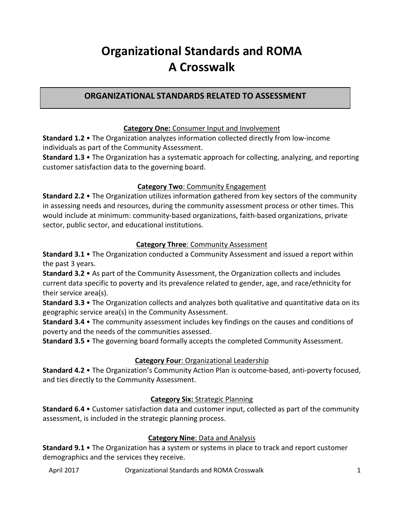# **Organizational Standards and ROMA A Crosswalk**

# **ORGANIZATIONAL STANDARDS RELATED TO ASSESSMENT**

## **Category One:** Consumer Input and Involvement

**Standard 1.2** • The Organization analyzes information collected directly from low-income individuals as part of the Community Assessment.

**Standard 1.3** • The Organization has a systematic approach for collecting, analyzing, and reporting customer satisfaction data to the governing board.

## **Category Two**: Community Engagement

**Standard 2.2** • The Organization utilizes information gathered from key sectors of the community in assessing needs and resources, during the community assessment process or other times. This would include at minimum: community-based organizations, faith-based organizations, private sector, public sector, and educational institutions.

## **Category Three**: Community Assessment

**Standard 3.1** • The Organization conducted a Community Assessment and issued a report within the past 3 years.

**Standard 3.2** • As part of the Community Assessment, the Organization collects and includes current data specific to poverty and its prevalence related to gender, age, and race/ethnicity for their service area(s).

**Standard 3.3** • The Organization collects and analyzes both qualitative and quantitative data on its geographic service area(s) in the Community Assessment.

**Standard 3.4** • The community assessment includes key findings on the causes and conditions of poverty and the needs of the communities assessed.

**Standard 3.5** • The governing board formally accepts the completed Community Assessment.

#### **Category Four**: Organizational Leadership

**Standard 4.2** • The Organization's Community Action Plan is outcome-based, anti-poverty focused, and ties directly to the Community Assessment.

## **Category Six:** Strategic Planning

**Standard 6.4** • Customer satisfaction data and customer input, collected as part of the community assessment, is included in the strategic planning process.

## **Category Nine**: Data and Analysis

**Standard 9.1** • The Organization has a system or systems in place to track and report customer demographics and the services they receive.

April 2017 **Communist Communist Communist April 2017** Organizational Standards and ROMA Crosswalk 1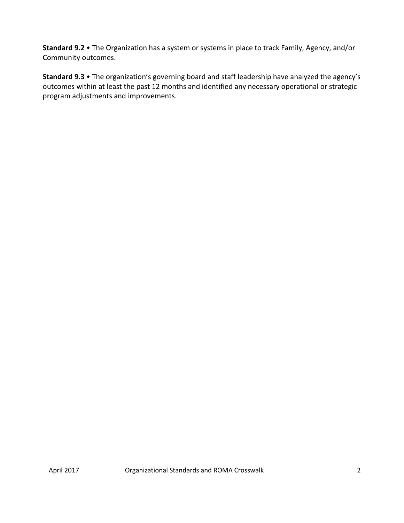**Standard 9.2** • The Organization has a system or systems in place to track Family, Agency, and/or Community outcomes.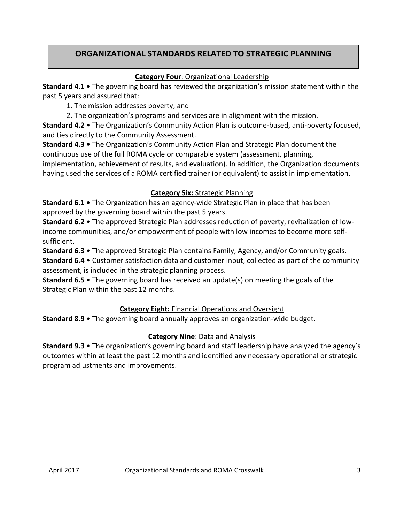# **ORGANIZATIONAL STANDARDS RELATED TO STRATEGIC PLANNING**

## **Category Four**: Organizational Leadership

**Standard 4.1** • The governing board has reviewed the organization's mission statement within the past 5 years and assured that:

1. The mission addresses poverty; and

2. The organization's programs and services are in alignment with the mission.

**Standard 4.2** • The Organization's Community Action Plan is outcome-based, anti-poverty focused, and ties directly to the Community Assessment.

**Standard 4.3 •** The Organization's Community Action Plan and Strategic Plan document the continuous use of the full ROMA cycle or comparable system (assessment, planning, implementation, achievement of results, and evaluation). In addition, the Organization documents having used the services of a ROMA certified trainer (or equivalent) to assist in implementation.

## **Category Six:** Strategic Planning

**Standard 6.1 •** The Organization has an agency-wide Strategic Plan in place that has been approved by the governing board within the past 5 years.

**Standard 6.2** • The approved Strategic Plan addresses reduction of poverty, revitalization of lowincome communities, and/or empowerment of people with low incomes to become more selfsufficient.

**Standard 6.3** • The approved Strategic Plan contains Family, Agency, and/or Community goals.

**Standard 6.4** • Customer satisfaction data and customer input, collected as part of the community assessment, is included in the strategic planning process.

**Standard 6.5** • The governing board has received an update(s) on meeting the goals of the Strategic Plan within the past 12 months.

## **Category Eight:** Financial Operations and Oversight

**Standard 8.9** • The governing board annually approves an organization-wide budget.

## **Category Nine**: Data and Analysis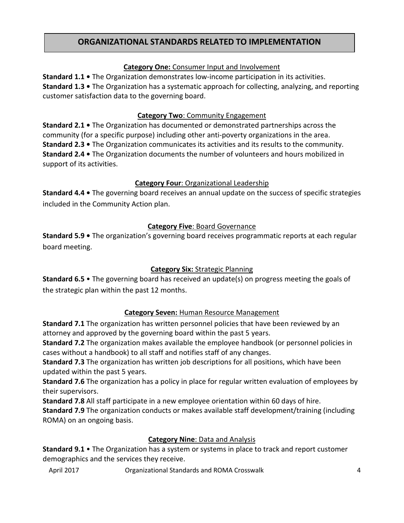# **ORGANIZATIONAL STANDARDS RELATED TO IMPLEMENTATION**

## **Category One:** Consumer Input and Involvement

**Standard 1.1 •** The Organization demonstrates low-income participation in its activities. **Standard 1.3 •** The Organization has a systematic approach for collecting, analyzing, and reporting customer satisfaction data to the governing board.

## **Category Two**: Community Engagement

**Standard 2.1 •** The Organization has documented or demonstrated partnerships across the community (for a specific purpose) including other anti-poverty organizations in the area. **Standard 2.3 •** The Organization communicates its activities and its results to the community. **Standard 2.4 •** The Organization documents the number of volunteers and hours mobilized in support of its activities.

## **Category Four**: Organizational Leadership

**Standard 4.4 •** The governing board receives an annual update on the success of specific strategies included in the Community Action plan.

## **Category Five**: Board Governance

**Standard 5.9 •** The organization's governing board receives programmatic reports at each regular board meeting.

## **Category Six:** Strategic Planning

**Standard 6.5** • The governing board has received an update(s) on progress meeting the goals of the strategic plan within the past 12 months.

## **Category Seven:** Human Resource Management

**Standard 7.1** The organization has written personnel policies that have been reviewed by an attorney and approved by the governing board within the past 5 years.

**Standard 7.2** The organization makes available the employee handbook (or personnel policies in cases without a handbook) to all staff and notifies staff of any changes.

**Standard 7.3** The organization has written job descriptions for all positions, which have been updated within the past 5 years.

**Standard 7.6** The organization has a policy in place for regular written evaluation of employees by their supervisors.

**Standard 7.8** All staff participate in a new employee orientation within 60 days of hire.

**Standard 7.9** The organization conducts or makes available staff development/training (including ROMA) on an ongoing basis.

#### **Category Nine**: Data and Analysis

**Standard 9.1** • The Organization has a system or systems in place to track and report customer demographics and the services they receive.

April 2017 Organizational Standards and ROMA Crosswalk 4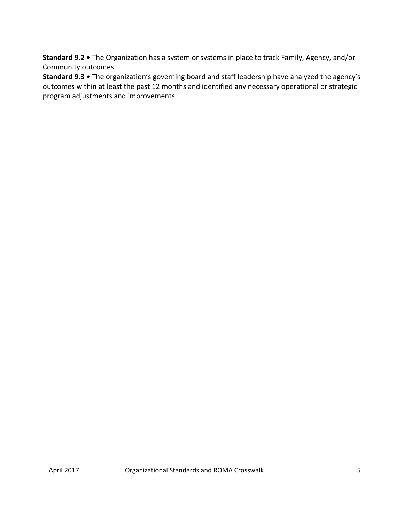**Standard 9.2** • The Organization has a system or systems in place to track Family, Agency, and/or Community outcomes.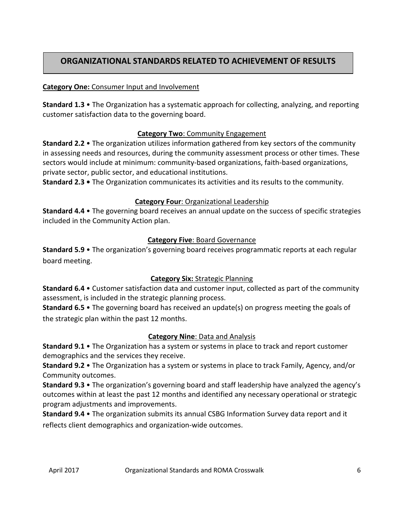# **ORGANIZATIONAL STANDARDS RELATED TO ACHIEVEMENT OF RESULTS**

## **Category One:** Consumer Input and Involvement

**Standard 1.3** • The Organization has a systematic approach for collecting, analyzing, and reporting customer satisfaction data to the governing board.

## **Category Two**: Community Engagement

**Standard 2.2** • The organization utilizes information gathered from key sectors of the community in assessing needs and resources, during the community assessment process or other times. These sectors would include at minimum: community-based organizations, faith-based organizations, private sector, public sector, and educational institutions.

**Standard 2.3 •** The Organization communicates its activities and its results to the community.

## **Category Four**: Organizational Leadership

**Standard 4.4** • The governing board receives an annual update on the success of specific strategies included in the Community Action plan.

#### **Category Five**: Board Governance

**Standard 5.9** • The organization's governing board receives programmatic reports at each regular board meeting.

## **Category Six:** Strategic Planning

**Standard 6.4** • Customer satisfaction data and customer input, collected as part of the community assessment, is included in the strategic planning process.

**Standard 6.5** • The governing board has received an update(s) on progress meeting the goals of the strategic plan within the past 12 months.

#### **Category Nine**: Data and Analysis

**Standard 9.1** • The Organization has a system or systems in place to track and report customer demographics and the services they receive.

**Standard 9.2** • The Organization has a system or systems in place to track Family, Agency, and/or Community outcomes.

**Standard 9.3** • The organization's governing board and staff leadership have analyzed the agency's outcomes within at least the past 12 months and identified any necessary operational or strategic program adjustments and improvements.

**Standard 9.4** • The organization submits its annual CSBG Information Survey data report and it reflects client demographics and organization-wide outcomes.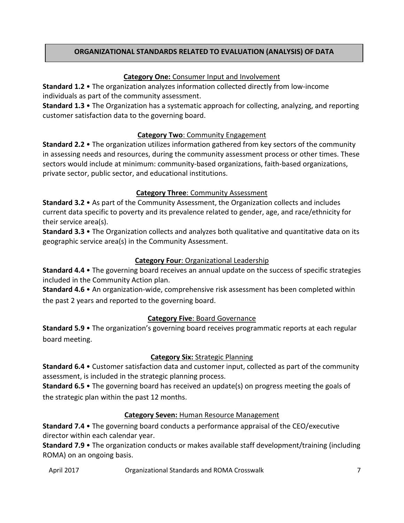## **ORGANIZATIONAL STANDARDS RELATED TO EVALUATION (ANALYSIS) OF DATA**

## **Category One:** Consumer Input and Involvement

**Standard 1.2** • The organization analyzes information collected directly from low-income individuals as part of the community assessment.

**Standard 1.3** • The Organization has a systematic approach for collecting, analyzing, and reporting customer satisfaction data to the governing board.

## **Category Two**: Community Engagement

**Standard 2.2** • The organization utilizes information gathered from key sectors of the community in assessing needs and resources, during the community assessment process or other times. These sectors would include at minimum: community-based organizations, faith-based organizations, private sector, public sector, and educational institutions.

## **Category Three**: Community Assessment

**Standard 3.2** • As part of the Community Assessment, the Organization collects and includes current data specific to poverty and its prevalence related to gender, age, and race/ethnicity for their service area(s).

**Standard 3.3** • The Organization collects and analyzes both qualitative and quantitative data on its geographic service area(s) in the Community Assessment.

## **Category Four**: Organizational Leadership

**Standard 4.4** • The governing board receives an annual update on the success of specific strategies included in the Community Action plan.

**Standard 4.6** • An organization-wide, comprehensive risk assessment has been completed within the past 2 years and reported to the governing board.

#### **Category Five**: Board Governance

**Standard 5.9** • The organization's governing board receives programmatic reports at each regular board meeting.

#### **Category Six:** Strategic Planning

**Standard 6.4** • Customer satisfaction data and customer input, collected as part of the community assessment, is included in the strategic planning process.

**Standard 6.5** • The governing board has received an update(s) on progress meeting the goals of the strategic plan within the past 12 months.

#### **Category Seven:** Human Resource Management

**Standard 7.4** • The governing board conducts a performance appraisal of the CEO/executive director within each calendar year.

**Standard 7.9** • The organization conducts or makes available staff development/training (including ROMA) on an ongoing basis.

April 2017 Organizational Standards and ROMA Crosswalk 7